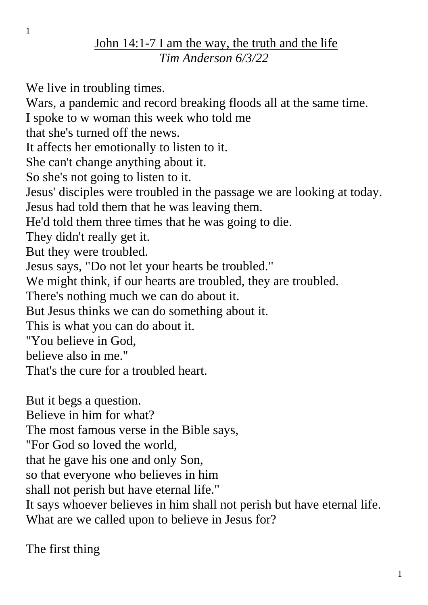## John 14:1-7 I am the way, the truth and the life *Tim Anderson 6/3/22*

We live in troubling times.

Wars, a pandemic and record breaking floods all at the same time.

I spoke to w woman this week who told me

that she's turned off the news.

It affects her emotionally to listen to it.

She can't change anything about it.

So she's not going to listen to it.

Jesus' disciples were troubled in the passage we are looking at today.

Jesus had told them that he was leaving them.

He'd told them three times that he was going to die.

They didn't really get it.

But they were troubled.

Jesus says, "Do not let your hearts be troubled."

We might think, if our hearts are troubled, they are troubled.

There's nothing much we can do about it.

But Jesus thinks we can do something about it.

This is what you can do about it.

"You believe in God,

believe also in me."

That's the cure for a troubled heart.

But it begs a question.

Believe in him for what?

The most famous verse in the Bible says,

"For God so loved the world,

that he gave his one and only Son,

so that everyone who believes in him

shall not perish but have eternal life."

It says whoever believes in him shall not perish but have eternal life. What are we called upon to believe in Jesus for?

The first thing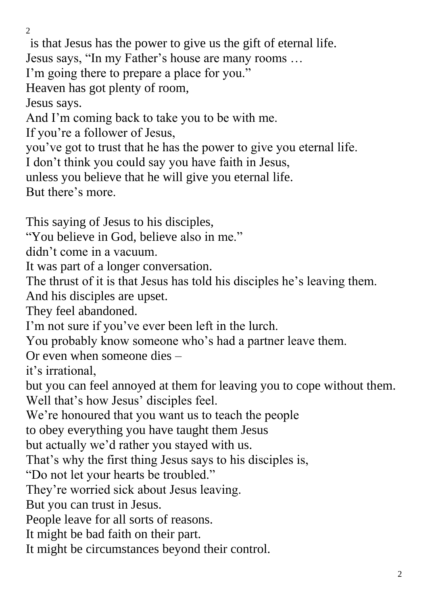$\mathcal{L}$ 

is that Jesus has the power to give us the gift of eternal life.

Jesus says, "In my Father's house are many rooms …

I'm going there to prepare a place for you."

Heaven has got plenty of room,

Jesus says.

And I'm coming back to take you to be with me.

If you're a follower of Jesus,

you've got to trust that he has the power to give you eternal life.

I don't think you could say you have faith in Jesus,

unless you believe that he will give you eternal life.

But there's more.

This saying of Jesus to his disciples,

"You believe in God, believe also in me."

didn't come in a vacuum.

It was part of a longer conversation.

The thrust of it is that Jesus has told his disciples he's leaving them.

And his disciples are upset.

They feel abandoned.

I'm not sure if you've ever been left in the lurch.

You probably know someone who's had a partner leave them.

Or even when someone dies –

it's irrational,

but you can feel annoyed at them for leaving you to cope without them. Well that's how Jesus' disciples feel.

We're honoured that you want us to teach the people

to obey everything you have taught them Jesus

but actually we'd rather you stayed with us.

That's why the first thing Jesus says to his disciples is,

"Do not let your hearts be troubled."

They're worried sick about Jesus leaving.

But you can trust in Jesus.

People leave for all sorts of reasons.

It might be bad faith on their part.

It might be circumstances beyond their control.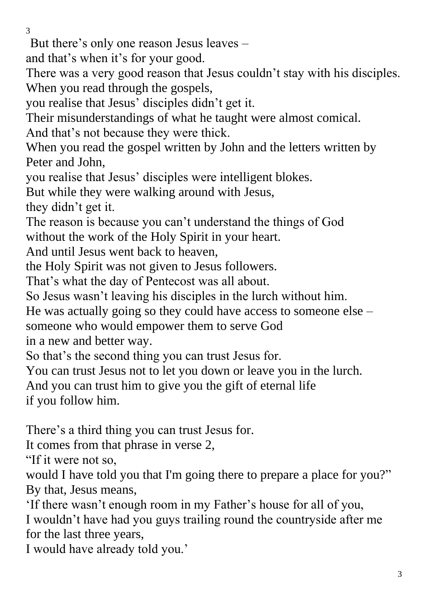But there's only one reason Jesus leaves –

and that's when it's for your good.

There was a very good reason that Jesus couldn't stay with his disciples. When you read through the gospels,

you realise that Jesus' disciples didn't get it.

Their misunderstandings of what he taught were almost comical.

And that's not because they were thick.

When you read the gospel written by John and the letters written by Peter and John,

you realise that Jesus' disciples were intelligent blokes.

But while they were walking around with Jesus,

they didn't get it.

The reason is because you can't understand the things of God without the work of the Holy Spirit in your heart.

And until Jesus went back to heaven,

the Holy Spirit was not given to Jesus followers.

That's what the day of Pentecost was all about.

So Jesus wasn't leaving his disciples in the lurch without him.

He was actually going so they could have access to someone else –

someone who would empower them to serve God

in a new and better way.

So that's the second thing you can trust Jesus for.

You can trust Jesus not to let you down or leave you in the lurch.

And you can trust him to give you the gift of eternal life

if you follow him.

There's a third thing you can trust Jesus for.

It comes from that phrase in verse 2,

"If it were not so,

would I have told you that I'm going there to prepare a place for you?" By that, Jesus means,

'If there wasn't enough room in my Father's house for all of you, I wouldn't have had you guys trailing round the countryside after me for the last three years,

I would have already told you.'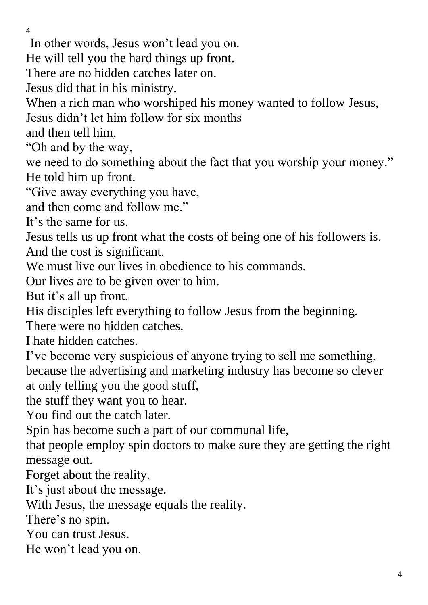In other words, Jesus won't lead you on.

He will tell you the hard things up front.

There are no hidden catches later on.

Jesus did that in his ministry.

When a rich man who worshiped his money wanted to follow Jesus,

Jesus didn't let him follow for six months

and then tell him,

"Oh and by the way,

we need to do something about the fact that you worship your money." He told him up front.

"Give away everything you have,

and then come and follow me."

It's the same for us.

Jesus tells us up front what the costs of being one of his followers is. And the cost is significant.

We must live our lives in obedience to his commands.

Our lives are to be given over to him.

But it's all up front.

His disciples left everything to follow Jesus from the beginning.

There were no hidden catches.

I hate hidden catches.

I've become very suspicious of anyone trying to sell me something, because the advertising and marketing industry has become so clever at only telling you the good stuff,

the stuff they want you to hear.

You find out the catch later.

Spin has become such a part of our communal life,

that people employ spin doctors to make sure they are getting the right message out.

Forget about the reality.

It's just about the message.

With Jesus, the message equals the reality.

There's no spin.

You can trust Jesus.

He won't lead you on.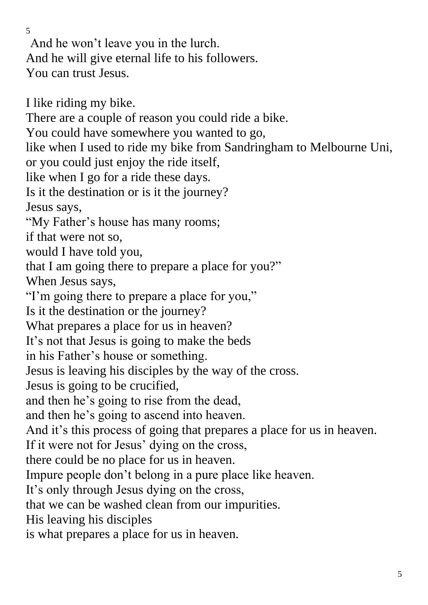And he won't leave you in the lurch. And he will give eternal life to his followers. You can trust Jesus.

I like riding my bike. There are a couple of reason you could ride a bike. You could have somewhere you wanted to go, like when I used to ride my bike from Sandringham to Melbourne Uni, or you could just enjoy the ride itself, like when I go for a ride these days. Is it the destination or is it the journey? Jesus says, "My Father's house has many rooms; if that were not so, would I have told you, that I am going there to prepare a place for you?" When Jesus says, "I'm going there to prepare a place for you," Is it the destination or the journey? What prepares a place for us in heaven? It's not that Jesus is going to make the beds in his Father's house or something. Jesus is leaving his disciples by the way of the cross. Jesus is going to be crucified, and then he's going to rise from the dead, and then he's going to ascend into heaven. And it's this process of going that prepares a place for us in heaven. If it were not for Jesus' dying on the cross, there could be no place for us in heaven. Impure people don't belong in a pure place like heaven. It's only through Jesus dying on the cross, that we can be washed clean from our impurities. His leaving his disciples is what prepares a place for us in heaven.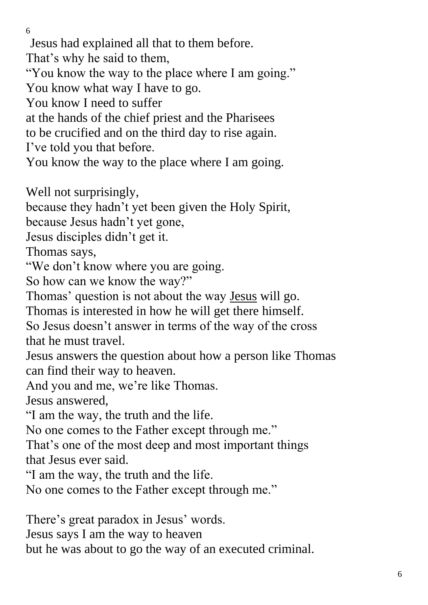6 Jesus had explained all that to them before. That's why he said to them, "You know the way to the place where I am going." You know what way I have to go. You know I need to suffer at the hands of the chief priest and the Pharisees to be crucified and on the third day to rise again. I've told you that before. You know the way to the place where I am going. Well not surprisingly, because they hadn't yet been given the Holy Spirit, because Jesus hadn't yet gone, Jesus disciples didn't get it. Thomas says, "We don't know where you are going. So how can we know the way?" Thomas' question is not about the way Jesus will go. Thomas is interested in how he will get there himself. So Jesus doesn't answer in terms of the way of the cross that he must travel. Jesus answers the question about how a person like Thomas can find their way to heaven.

And you and me, we're like Thomas.

Jesus answered,

"I am the way, the truth and the life.

No one comes to the Father except through me."

That's one of the most deep and most important things that Jesus ever said.

"I am the way, the truth and the life.

No one comes to the Father except through me."

There's great paradox in Jesus' words.

Jesus says I am the way to heaven

but he was about to go the way of an executed criminal.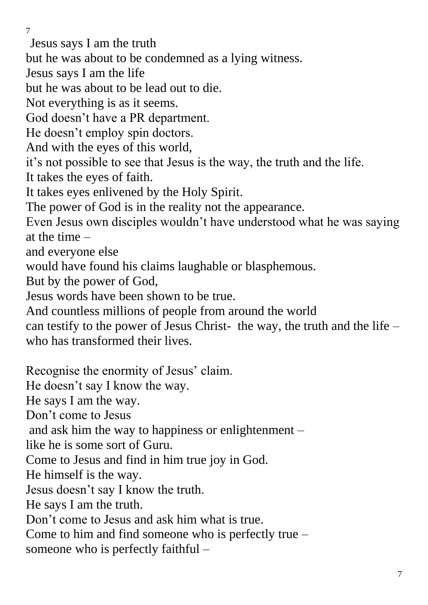Jesus says I am the truth

but he was about to be condemned as a lying witness.

Jesus says I am the life

but he was about to be lead out to die.

Not everything is as it seems.

God doesn't have a PR department.

He doesn't employ spin doctors.

And with the eyes of this world,

it's not possible to see that Jesus is the way, the truth and the life.

It takes the eyes of faith.

It takes eyes enlivened by the Holy Spirit.

The power of God is in the reality not the appearance.

Even Jesus own disciples wouldn't have understood what he was saying at the time –

and everyone else

would have found his claims laughable or blasphemous.

But by the power of God,

Jesus words have been shown to be true.

And countless millions of people from around the world

can testify to the power of Jesus Christ- the way, the truth and the life – who has transformed their lives.

Recognise the enormity of Jesus' claim. He doesn't say I know the way. He says I am the way. Don't come to Jesus and ask him the way to happiness or enlightenment – like he is some sort of Guru. Come to Jesus and find in him true joy in God. He himself is the way. Jesus doesn't say I know the truth. He says I am the truth. Don't come to Jesus and ask him what is true. Come to him and find someone who is perfectly true – someone who is perfectly faithful –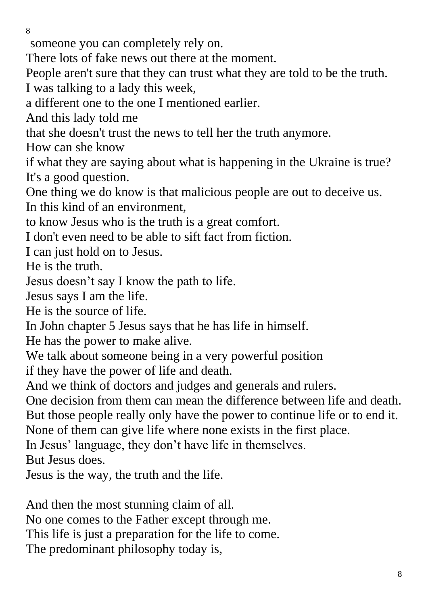someone you can completely rely on.

There lots of fake news out there at the moment.

People aren't sure that they can trust what they are told to be the truth.

I was talking to a lady this week,

a different one to the one I mentioned earlier.

And this lady told me

that she doesn't trust the news to tell her the truth anymore.

How can she know

if what they are saying about what is happening in the Ukraine is true? It's a good question.

One thing we do know is that malicious people are out to deceive us. In this kind of an environment,

to know Jesus who is the truth is a great comfort.

I don't even need to be able to sift fact from fiction.

I can just hold on to Jesus.

He is the truth.

Jesus doesn't say I know the path to life.

Jesus says I am the life.

He is the source of life.

In John chapter 5 Jesus says that he has life in himself.

He has the power to make alive.

We talk about someone being in a very powerful position

if they have the power of life and death.

And we think of doctors and judges and generals and rulers.

One decision from them can mean the difference between life and death. But those people really only have the power to continue life or to end it.

None of them can give life where none exists in the first place.

In Jesus' language, they don't have life in themselves.

But Jesus does.

Jesus is the way, the truth and the life.

And then the most stunning claim of all.

No one comes to the Father except through me.

This life is just a preparation for the life to come.

The predominant philosophy today is,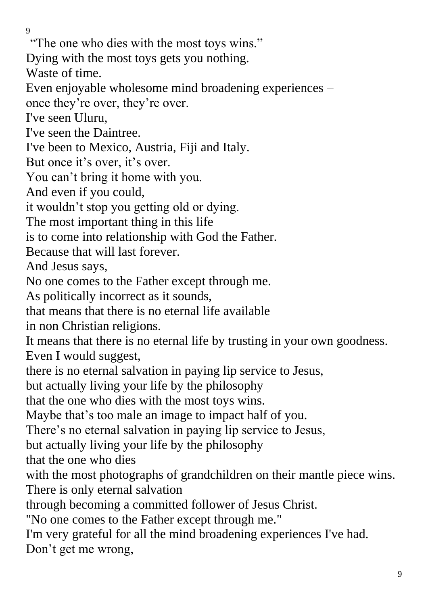"The one who dies with the most toys wins."

Dying with the most toys gets you nothing.

Waste of time.

Even enjoyable wholesome mind broadening experiences –

once they're over, they're over.

I've seen Uluru,

I've seen the Daintree.

I've been to Mexico, Austria, Fiji and Italy.

But once it's over, it's over.

You can't bring it home with you.

And even if you could,

it wouldn't stop you getting old or dying.

The most important thing in this life

is to come into relationship with God the Father.

Because that will last forever.

And Jesus says,

No one comes to the Father except through me.

As politically incorrect as it sounds,

that means that there is no eternal life available

in non Christian religions.

It means that there is no eternal life by trusting in your own goodness. Even I would suggest,

there is no eternal salvation in paying lip service to Jesus,

but actually living your life by the philosophy

that the one who dies with the most toys wins.

Maybe that's too male an image to impact half of you.

There's no eternal salvation in paying lip service to Jesus,

but actually living your life by the philosophy

that the one who dies

with the most photographs of grandchildren on their mantle piece wins. There is only eternal salvation

through becoming a committed follower of Jesus Christ.

"No one comes to the Father except through me."

I'm very grateful for all the mind broadening experiences I've had. Don't get me wrong,